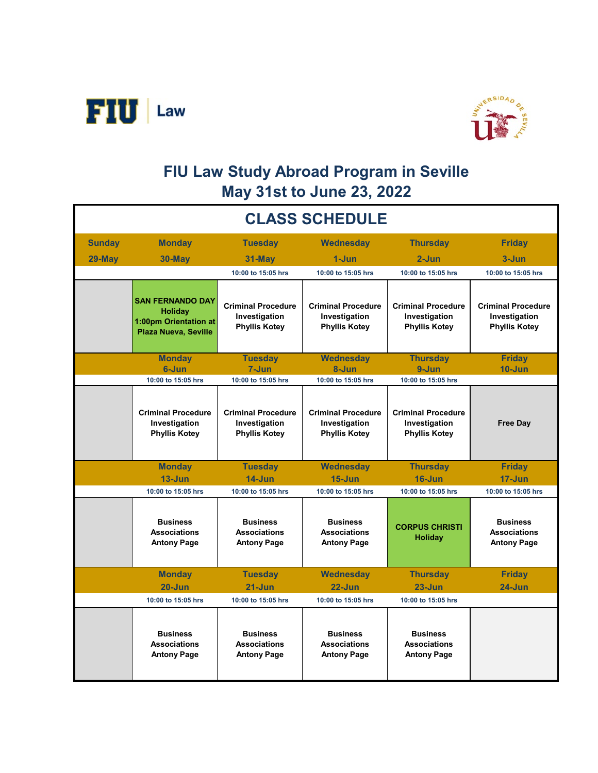



## **FIU Law Study Abroad Program in Seville May 31st to June 23, 2022**

| <b>CLASS SCHEDULE</b> |                                                                                                   |                                                                    |                                                                    |                                                                    |                                                                    |  |  |  |
|-----------------------|---------------------------------------------------------------------------------------------------|--------------------------------------------------------------------|--------------------------------------------------------------------|--------------------------------------------------------------------|--------------------------------------------------------------------|--|--|--|
| <b>Sunday</b>         | <b>Monday</b>                                                                                     | <b>Tuesday</b>                                                     | <b>Wednesday</b>                                                   | <b>Thursday</b>                                                    | <b>Friday</b>                                                      |  |  |  |
| 29-May                | $30$ -May                                                                                         | 31-May                                                             | $1 - Jun$                                                          | $2 - Jun$                                                          | $3 - Jun$                                                          |  |  |  |
|                       |                                                                                                   | 10:00 to 15:05 hrs                                                 | 10:00 to 15:05 hrs                                                 | 10:00 to 15:05 hrs                                                 | 10:00 to 15:05 hrs                                                 |  |  |  |
|                       | <b>SAN FERNANDO DAY</b><br><b>Holiday</b><br>1:00pm Orientation at<br><b>Plaza Nueva, Seville</b> | <b>Criminal Procedure</b><br>Investigation<br><b>Phyllis Kotey</b> | <b>Criminal Procedure</b><br>Investigation<br><b>Phyllis Kotey</b> | <b>Criminal Procedure</b><br>Investigation<br><b>Phyllis Kotey</b> | <b>Criminal Procedure</b><br>Investigation<br><b>Phyllis Kotey</b> |  |  |  |
|                       | <b>Monday</b>                                                                                     | <b>Tuesday</b>                                                     | Wednesday                                                          | <b>Thursday</b>                                                    | <b>Friday</b>                                                      |  |  |  |
|                       | 6-Jun                                                                                             | $7 - Jun$                                                          | 8-Jun                                                              | $9 - Jun$                                                          | $10 - Jun$                                                         |  |  |  |
|                       | 10:00 to 15:05 hrs                                                                                | 10:00 to 15:05 hrs                                                 | 10:00 to 15:05 hrs                                                 | 10:00 to 15:05 hrs                                                 |                                                                    |  |  |  |
|                       | <b>Criminal Procedure</b><br>Investigation<br><b>Phyllis Kotey</b>                                | <b>Criminal Procedure</b><br>Investigation<br><b>Phyllis Kotey</b> | <b>Criminal Procedure</b><br>Investigation<br><b>Phyllis Kotey</b> | <b>Criminal Procedure</b><br>Investigation<br><b>Phyllis Kotey</b> | <b>Free Day</b>                                                    |  |  |  |
|                       | <b>Monday</b>                                                                                     | <b>Tuesday</b>                                                     | <b>Wednesday</b>                                                   | <b>Thursday</b>                                                    | <b>Friday</b>                                                      |  |  |  |
|                       | $13 - Jun$                                                                                        | $14 - Jun$                                                         | $15 - Jun$                                                         | $16 - Jun$                                                         | $17 - Jun$                                                         |  |  |  |
|                       | 10:00 to 15:05 hrs                                                                                | 10:00 to 15:05 hrs                                                 | 10:00 to 15:05 hrs                                                 | 10:00 to 15:05 hrs                                                 | 10:00 to 15:05 hrs                                                 |  |  |  |
|                       | <b>Business</b><br><b>Associations</b><br><b>Antony Page</b>                                      | <b>Business</b><br><b>Associations</b><br><b>Antony Page</b>       | <b>Business</b><br><b>Associations</b><br><b>Antony Page</b>       | <b>CORPUS CHRISTI</b><br><b>Holiday</b>                            | <b>Business</b><br><b>Associations</b><br><b>Antony Page</b>       |  |  |  |
|                       | <b>Monday</b>                                                                                     | <b>Tuesday</b>                                                     | <b>Wednesday</b>                                                   | <b>Thursday</b>                                                    | <b>Friday</b>                                                      |  |  |  |
|                       | $20 - Jun$                                                                                        | $21 - Jun$                                                         | $22 - Jun$                                                         | $23 - Jun$                                                         | $24 - Jun$                                                         |  |  |  |
|                       | 10:00 to 15:05 hrs                                                                                | 10:00 to 15:05 hrs                                                 | 10:00 to 15:05 hrs                                                 | 10:00 to 15:05 hrs                                                 |                                                                    |  |  |  |
|                       | <b>Business</b><br><b>Associations</b><br><b>Antony Page</b>                                      | <b>Business</b><br><b>Associations</b><br><b>Antony Page</b>       | <b>Business</b><br><b>Associations</b><br><b>Antony Page</b>       | <b>Business</b><br><b>Associations</b><br><b>Antony Page</b>       |                                                                    |  |  |  |